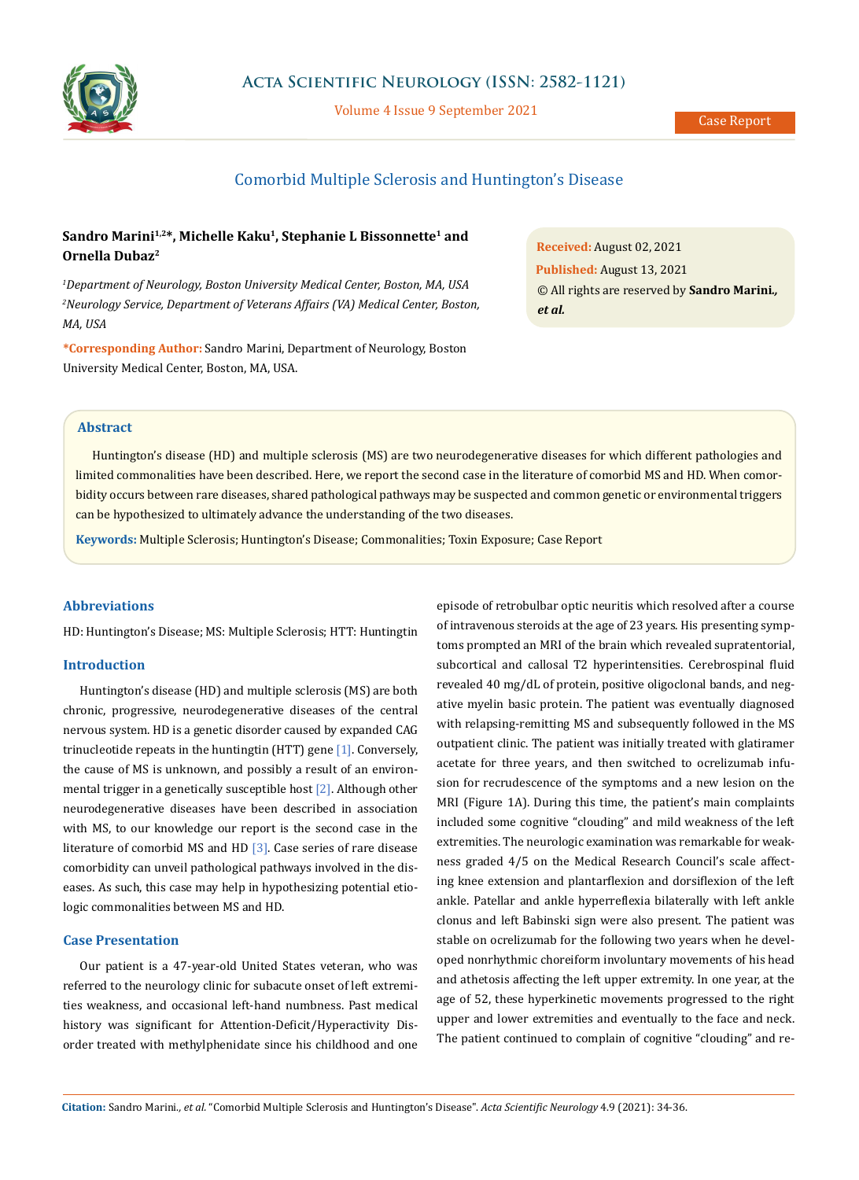

## **Acta Scientific Neurology (ISSN: 2582-1121)**

Volume 4 Issue 9 September 2021

## Comorbid Multiple Sclerosis and Huntington's Disease

# Sandro Marini<sup>1,2\*</sup>, Michelle Kaku<sup>1</sup>, Stephanie L Bissonnette<sup>1</sup> and **Ornella Dubaz2**

*1 Department of Neurology, Boston University Medical Center, Boston, MA, USA 2 Neurology Service, Department of Veterans Affairs (VA) Medical Center, Boston, MA, USA*

**\*Corresponding Author:** Sandro Marini, Department of Neurology, Boston University Medical Center, Boston, MA, USA.

**Received:** August 02, 2021 **Published:** August 13, 2021 © All rights are reserved by **Sandro Marini***., et al.*

### **Abstract**

Huntington's disease (HD) and multiple sclerosis (MS) are two neurodegenerative diseases for which different pathologies and limited commonalities have been described. Here, we report the second case in the literature of comorbid MS and HD. When comorbidity occurs between rare diseases, shared pathological pathways may be suspected and common genetic or environmental triggers can be hypothesized to ultimately advance the understanding of the two diseases.

**Keywords:** Multiple Sclerosis; Huntington's Disease; Commonalities; Toxin Exposure; Case Report

#### **Abbreviations**

HD: Huntington's Disease; MS: Multiple Sclerosis; HTT: Huntingtin

#### **Introduction**

Huntington's disease (HD) and multiple sclerosis (MS) are both chronic, progressive, neurodegenerative diseases of the central nervous system. HD is a genetic disorder caused by expanded CAG trinucleotide repeats in the huntingtin (HTT) gene  $[1]$ . Conversely, the cause of MS is unknown, and possibly a result of an environmental trigger in a genetically susceptible host [2]. Although other neurodegenerative diseases have been described in association with MS, to our knowledge our report is the second case in the literature of comorbid MS and HD  $[3]$ . Case series of rare disease comorbidity can unveil pathological pathways involved in the diseases. As such, this case may help in hypothesizing potential etiologic commonalities between MS and HD.

### **Case Presentation**

Our patient is a 47-year-old United States veteran, who was referred to the neurology clinic for subacute onset of left extremities weakness, and occasional left-hand numbness. Past medical history was significant for Attention-Deficit/Hyperactivity Disorder treated with methylphenidate since his childhood and one episode of retrobulbar optic neuritis which resolved after a course of intravenous steroids at the age of 23 years. His presenting symptoms prompted an MRI of the brain which revealed supratentorial, subcortical and callosal T2 hyperintensities. Cerebrospinal fluid revealed 40 mg/dL of protein, positive oligoclonal bands, and negative myelin basic protein. The patient was eventually diagnosed with relapsing-remitting MS and subsequently followed in the MS outpatient clinic. The patient was initially treated with glatiramer acetate for three years, and then switched to ocrelizumab infusion for recrudescence of the symptoms and a new lesion on the MRI (Figure 1A). During this time, the patient's main complaints included some cognitive "clouding" and mild weakness of the left extremities. The neurologic examination was remarkable for weakness graded 4/5 on the Medical Research Council's scale affecting knee extension and plantarflexion and dorsiflexion of the left ankle. Patellar and ankle hyperreflexia bilaterally with left ankle clonus and left Babinski sign were also present. The patient was stable on ocrelizumab for the following two years when he developed nonrhythmic choreiform involuntary movements of his head and athetosis affecting the left upper extremity. In one year, at the age of 52, these hyperkinetic movements progressed to the right upper and lower extremities and eventually to the face and neck. The patient continued to complain of cognitive "clouding" and re-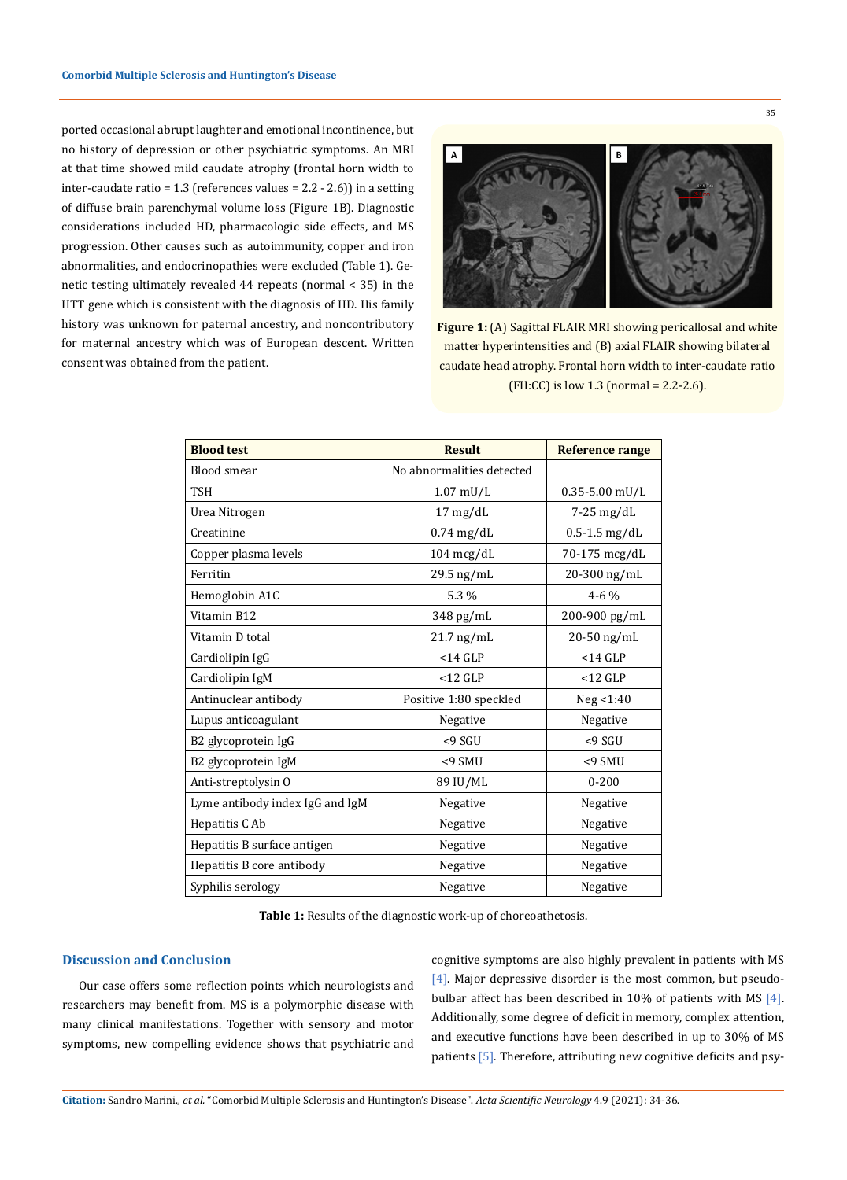ported occasional abrupt laughter and emotional incontinence, but no history of depression or other psychiatric symptoms. An MRI at that time showed mild caudate atrophy (frontal horn width to inter-caudate ratio = 1.3 (references values = 2.2 - 2.6)) in a setting of diffuse brain parenchymal volume loss (Figure 1B). Diagnostic considerations included HD, pharmacologic side effects, and MS progression. Other causes such as autoimmunity, copper and iron abnormalities, and endocrinopathies were excluded (Table 1). Genetic testing ultimately revealed 44 repeats (normal < 35) in the HTT gene which is consistent with the diagnosis of HD. His family history was unknown for paternal ancestry, and noncontributory for maternal ancestry which was of European descent. Written consent was obtained from the patient.



35

**Figure 1:** (A) Sagittal FLAIR MRI showing pericallosal and white matter hyperintensities and (B) axial FLAIR showing bilateral caudate head atrophy. Frontal horn width to inter-caudate ratio (FH:CC) is low 1.3 (normal =  $2.2-2.6$ ).

| <b>Blood test</b>               | <b>Result</b>             | <b>Reference range</b> |
|---------------------------------|---------------------------|------------------------|
| <b>Blood</b> smear              | No abnormalities detected |                        |
| <b>TSH</b>                      | $1.07$ mU/L               | $0.35 - 5.00$ mU/L     |
| Urea Nitrogen                   | $17 \text{ mg/dL}$        | $7-25$ mg/dL           |
| Creatinine                      | $0.74$ mg/dL              | $0.5 - 1.5$ mg/dL      |
| Copper plasma levels            | 104 mcg/dL                | 70-175 mcg/dL          |
| Ferritin                        | 29.5 ng/mL                | 20-300 ng/mL           |
| Hemoglobin A1C                  | 5.3 %                     | $4 - 6\%$              |
| Vitamin B12                     | 348 pg/mL                 | 200-900 pg/mL          |
| Vitamin D total                 | $21.7$ ng/mL              | 20-50 ng/mL            |
| Cardiolipin IgG                 | $<$ 14 GLP                | $<$ 14 GLP             |
| Cardiolipin IgM                 | $<$ 12 GLP                | $<$ 12 GLP             |
| Antinuclear antibody            | Positive 1:80 speckled    | Neg < 1:40             |
| Lupus anticoagulant             | Negative                  | Negative               |
| B2 glycoprotein IgG             | $< 9$ SGU                 | <9 SGU                 |
| B2 glycoprotein IgM             | $< 9$ SMU                 | $< 9$ SMU              |
| Anti-streptolysin O             | 89 IU/ML                  | $0 - 200$              |
| Lyme antibody index IgG and IgM | Negative                  | Negative               |
| Hepatitis C Ab                  | Negative                  | Negative               |
| Hepatitis B surface antigen     | Negative                  | Negative               |
| Hepatitis B core antibody       | Negative                  | Negative               |
| Syphilis serology               | Negative                  | Negative               |

**Table 1:** Results of the diagnostic work-up of choreoathetosis.

#### **Discussion and Conclusion**

Our case offers some reflection points which neurologists and researchers may benefit from. MS is a polymorphic disease with many clinical manifestations. Together with sensory and motor symptoms, new compelling evidence shows that psychiatric and cognitive symptoms are also highly prevalent in patients with MS [4]. Major depressive disorder is the most common, but pseudobulbar affect has been described in 10% of patients with MS [4]. Additionally, some degree of deficit in memory, complex attention, and executive functions have been described in up to 30% of MS patients [5]. Therefore, attributing new cognitive deficits and psy-